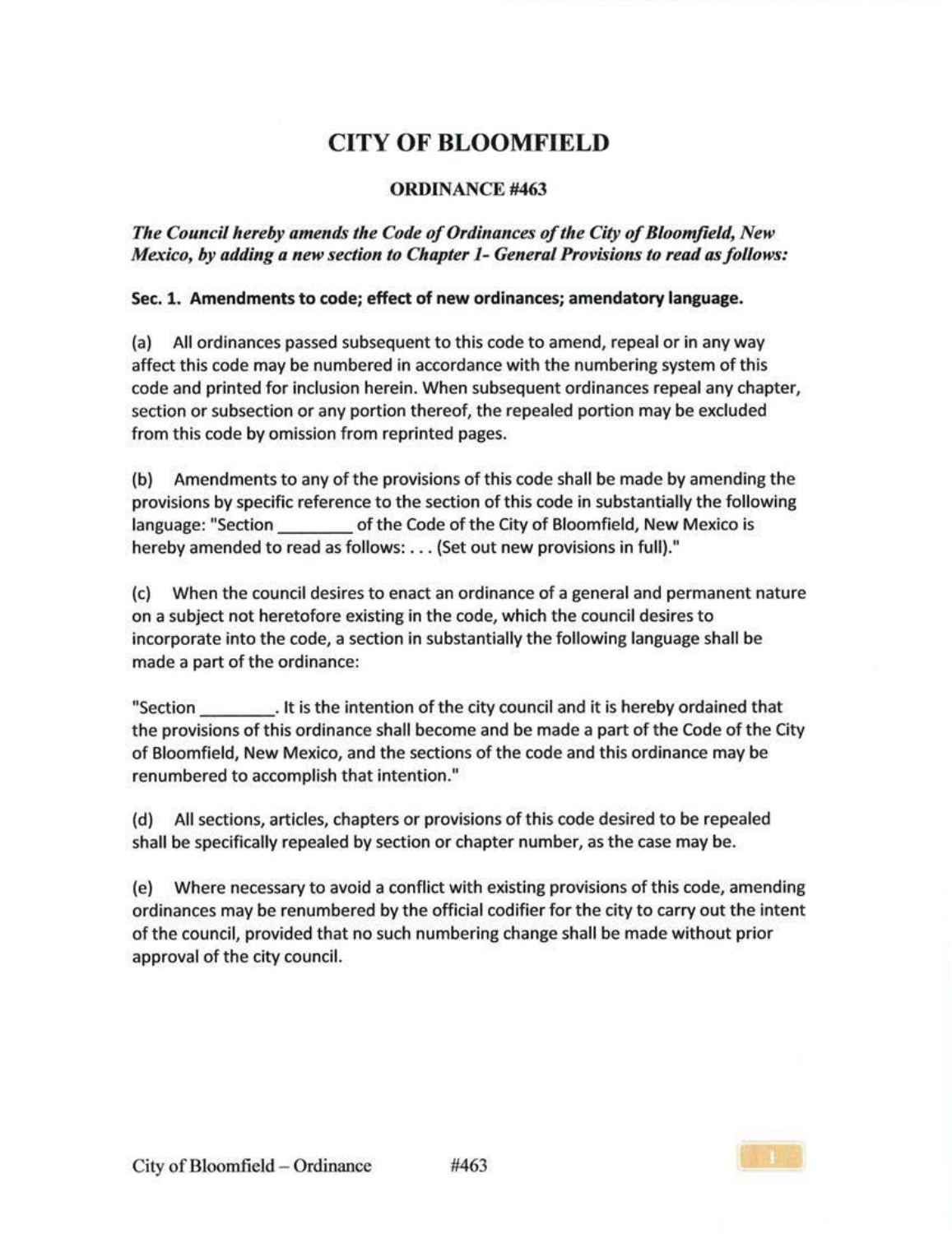## CITY OF BLOOMFIELD

## **ORDINANCE #463**

*Tlte Co1mcil ltereby amends the Code of Ordinances of the City of Bloomfield, New Mexico, by adding a new section to Chapter* 1- *General Provisions to read as follows:* 

## Sec. 1. Amendments to code; effect of new ordinances; amendatory language.

(a) All ordinances passed subsequent to this code to amend, repeal or in any way affect this code may be numbered in accordance with the numbering system of this code and printed for inclusion herein. When subsequent ordinances repeal any chapter, section or subsection or any portion thereof, the repealed portion may be excluded from this code by omission from reprinted pages.

(b) Amendments to any of the provisions of this code shall be made by amending the provisions by specific reference to the section of this code in substantially the following language: "Section of the Code of the City of Bloomfield, New Mexico is hereby amended to read as follows: ... (Set out new provisions in full)."

(c) When the council desires to enact an ordinance of a general and permanent nature on a subject not heretofore existing in the code, which the council desires to incorporate into the code, a section in substantially the following language shall be made a part of the ordinance:

"Section . It is the intention of the city council and it is hereby ordained that the provisions of this ordinance shall become and be made a part of the Code of the City of Bloomfield, New Mexico, and the sections of the code and this ordinance may be renumbered to accomplish that intention."

(d) All sections, articles, chapters or provisions of this code desired to be repealed shall be specifically repealed by section or chapter number, as the case may be.

(e) Where necessary to avoid a conflict with existing provisions of this code, amending ordinances may be renumbered by the official codifier for the city to carry out the intent of the council, provided that no such numbering change shall be made without prior approval of the city council.